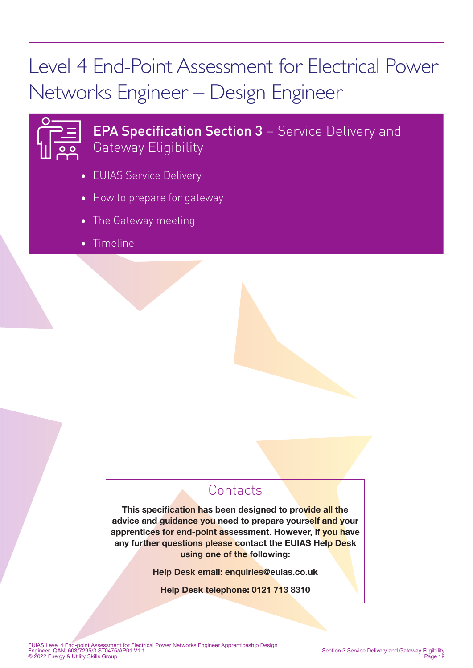# Level 4 End-Point Assessment for Electrical Power Networks Engineer – Design Engineer



# **EPA Specification Section 3 - Service Delivery and** Gateway Eligibility

- EUIAS Service Delivery
- How to prepare for gateway
- The Gateway meeting
- Timeline

# **Contacts**

This specification has been designed to provide all the advice and guidance you need to prepare yourself and your apprentices for end-point assessment. However, if you have any further questions please contact the EUIAS Help Desk using one of the following:

Help Desk email: enquiries@euias.co.uk

Help Desk telephone: 0121 713 8310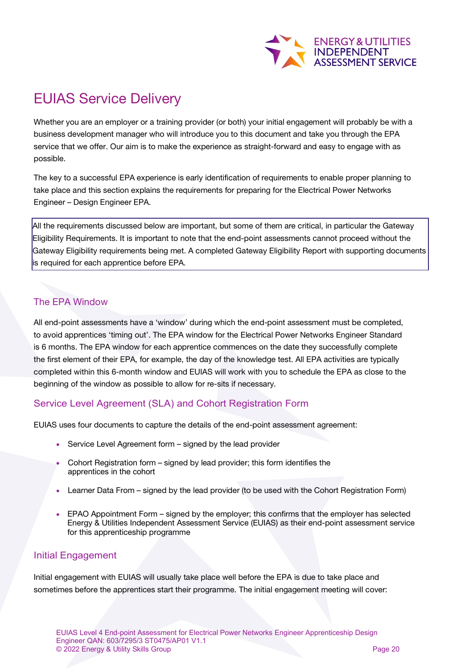

# EUIAS Service Delivery

Whether you are an employer or a training provider (or both) your initial engagement will probably be with a business development manager who will introduce you to this document and take you through the EPA service that we offer. Our aim is to make the experience as straight-forward and easy to engage with as possible.

The key to a successful EPA experience is early identification of requirements to enable proper planning to take place and this section explains the requirements for preparing for the Electrical Power Networks Engineer – Design Engineer EPA.

All the requirements discussed below are important, but some of them are critical, in particular the Gateway Eligibility Requirements. It is important to note that the end-point assessments cannot proceed without the Gateway Eligibility requirements being met. A completed Gateway Eligibility Report with supporting documents is required for each apprentice before EPA.

### The EPA Window

All end-point assessments have a 'window' during which the end-point assessment must be completed, to avoid apprentices 'timing out'. The EPA window for the Electrical Power Networks Engineer Standard is 6 months. The EPA window for each apprentice commences on the date they successfully complete the first element of their EPA, for example, the day of the knowledge test. All EPA activities are typically completed within this 6-month window and EUIAS will work with you to schedule the EPA as close to the beginning of the window as possible to allow for re-sits if necessary.

### Service Level Agreement (SLA) and Cohort Registration Form

EUIAS uses four documents to capture the details of the end-point assessment agreement:

- Service Level Agreement form signed by the lead provider
- Cohort Registration form signed by lead provider; this form identifies the apprentices in the cohort
- Learner Data From signed by the lead provider (to be used with the Cohort Registration Form)
- EPAO Appointment Form signed by the employer; this confirms that the employer has selected Energy & Utilities Independent Assessment Service (EUIAS) as their end-point assessment service for this apprenticeship programme

#### Initial Engagement

Initial engagement with EUIAS will usually take place well before the EPA is due to take place and sometimes before the apprentices start their programme. The initial engagement meeting will cover: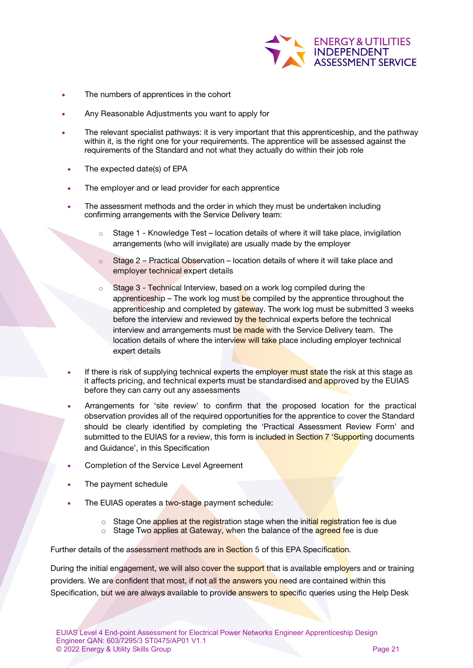

- The numbers of apprentices in the cohort
- Any Reasonable Adjustments you want to apply for
- The relevant specialist pathways: it is very important that this apprenticeship, and the pathway within it, is the right one for your requirements. The apprentice will be assessed against the requirements of the Standard and not what they actually do within their job role
- The expected date(s) of EPA
- The employer and or lead provider for each apprentice
- The assessment methods and the order in which they must be undertaken including confirming arrangements with the Service Delivery team:
	- $\circ$  Stage 1 Knowledge Test location details of where it will take place, invigilation arrangements (who will invigilate) are usually made by the employer
	- $\circ$  Stage 2 Practical Observation location details of where it will take place and employer technical expert details
	- Stage 3 Technical Interview, based on a work log compiled during the apprenticeship – The work log must be compiled by the apprentice throughout the apprenticeship and completed by gateway. The work log must be submitted 3 weeks before the interview and reviewed by the technical experts before the technical interview and arrangements must be made with the Service Delivery team. The location details of where the interview will take place including employer technical expert details
- If there is risk of supplying technical experts the employer must state the risk at this stage as it affects pricing, and technical experts must be standardised and approved by the EUIAS before they can carry out any assessments
- Arrangements for 'site review' to confirm that the proposed location for the practical observation provides all of the required opportunities for the apprentice to cover the Standard should be clearly identified by completing the 'Practical Assessment Review Form' and submitted to the EUIAS for a review, this form is *included in Section 7 'Supporting documents* and Guidance', in this Specification
- Completion of the Service Level Agreement
- The payment schedule
- The EUIAS operates a two-stage payment schedule:
	- $\circ$  Stage One applies at the registration stage when the initial registration fee is due o Stage Two applies at Gateway, when the balance of the agreed fee is due
- Further details of the assessment methods are in Section 5 of this EPA Specification.

During the initial engagement, we will also cover the support that is available employers and or training providers. We are confident that most, if not all the answers you need are contained within this Specification, but we are always available to provide answers to specific queries using the Help Desk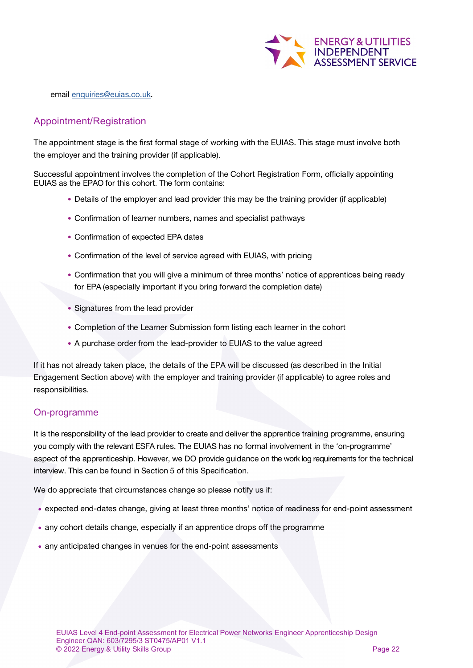

email [enquiries@euias.co.uk.](mailto:enquiries@euias.co.uk)

#### Appointment/Registration

The appointment stage is the first formal stage of working with the EUIAS. This stage must involve both the employer and the training provider (if applicable).

Successful appointment involves the completion of the Cohort Registration Form, officially appointing EUIAS as the EPAO for this cohort. The form contains:

- Details of the employer and lead provider this may be the training provider (if applicable)
- Confirmation of learner numbers, names and specialist pathways
- Confirmation of expected EPA dates
- Confirmation of the level of service agreed with EUIAS, with pricing
- Confirmation that you will give a minimum of three months' notice of apprentices being ready for EPA (especially important if you bring forward the completion date)
- Signatures from the lead provider
- Completion of the Learner Submission form listing each learner in the cohort
- A purchase order from the lead-provider to EUIAS to the value agreed

If it has not already taken place, the details of the EPA will be discussed (as described in the Initial Engagement Section above) with the employer and training provider (if applicable) to agree roles and responsibilities.

#### On-programme

It is the responsibility of the lead provider to create and deliver the apprentice training programme, ensuring you comply with the relevant ESFA rules. The EUIAS has no formal involvement in the 'on-programme' aspect of the apprenticeship. However, we DO provide guidance on the work log requirements for the technical interview. This can be found in Section 5 of this Specification.

We do appreciate that circumstances change so please notify us if:

- expected end-dates change, giving at least three months' notice of readiness for end-point assessment
- any cohort details change, especially if an apprentice drops off the programme
- any anticipated changes in venues for the end-point assessments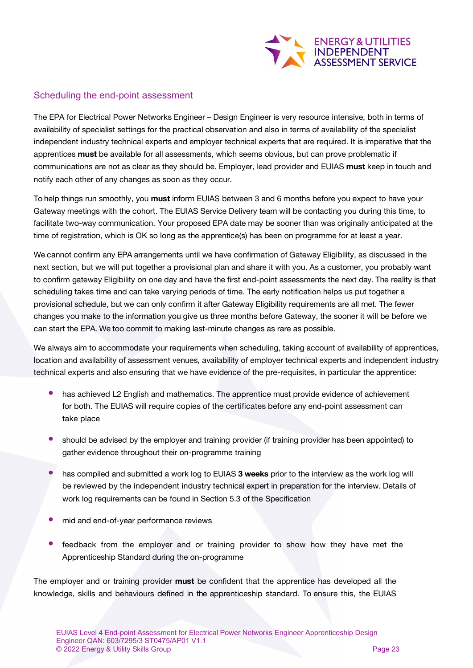

#### Scheduling the end-point assessment

The EPA for Electrical Power Networks Engineer – Design Engineer is very resource intensive, both in terms of availability of specialist settings for the practical observation and also in terms of availability of the specialist independent industry technical experts and employer technical experts that are required. It is imperative that the apprentices must be available for all assessments, which seems obvious, but can prove problematic if communications are not as clear as they should be. Employer, lead provider and EUIAS must keep in touch and notify each other of any changes as soon as they occur.

To help things run smoothly, you must inform EUIAS between 3 and 6 months before you expect to have your Gateway meetings with the cohort. The EUIAS Service Delivery team will be contacting you during this time, to facilitate two-way communication. Your proposed EPA date may be sooner than was originally anticipated at the time of registration, which is OK so long as the apprentice(s) has been on programme for at least a year.

We cannot confirm any EPA arrangements until we have confirmation of Gateway Eligibility, as discussed in the next section, but we will put together a provisional plan and share it with you. As a customer, you probably want to confirm gateway Eligibility on one day and have the first end-point assessments the next day. The reality is that scheduling takes time and can take varying periods of time. The early notification helps us put together a provisional schedule, but we can only confirm it after Gateway Eligibility requirements are all met. The fewer changes you make to the information you give us three months before Gateway, the sooner it will be before we can start the EPA. We too commit to making last-minute changes as rare as possible.

We always aim to accommodate your requirements when scheduling, taking account of availability of apprentices, location and availability of assessment venues, availability of employer technical experts and independent industry technical experts and also ensuring that we have evidence of the pre-requisites, in particular the apprentice:

- has achieved L2 English and mathematics. The apprentice must provide evidence of achievement for both. The EUIAS will require copies of the certificates before any end-point assessment can take place
- should be advised by the employer and training provider (if training provider has been appointed) to gather evidence throughout their on-programme training
- has compiled and submitted a work log to EUIAS 3 weeks prior to the interview as the work log will be reviewed by the independent industry technical expert in preparation for the interview. Details of work log requirements can be found in Section 5.3 of the Specification
- mid and end-of-year performance reviews
- feedback from the employer and or training provider to show how they have met the Apprenticeship Standard during the on-programme

The employer and or training provider **must** be confident that the apprentice has developed all the knowledge, skills and behaviours defined in the apprenticeship standard. To ensure this, the EUIAS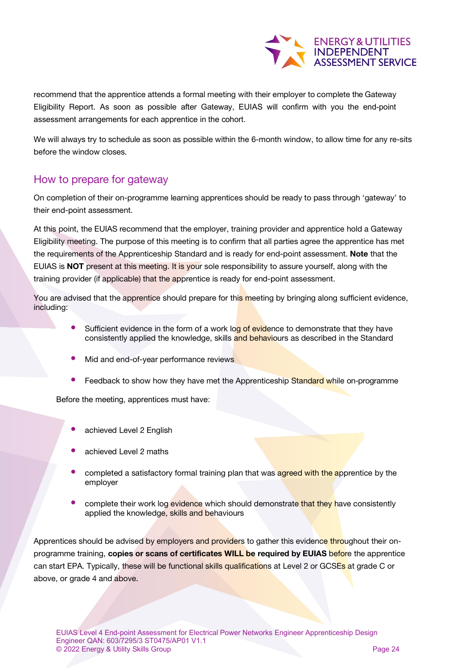

recommend that the apprentice attends a formal meeting with their employer to complete the Gateway Eligibility Report. As soon as possible after Gateway, EUIAS will confirm with you the end-point assessment arrangements for each apprentice in the cohort.

We will always try to schedule as soon as possible within the 6-month window, to allow time for any re-sits before the window closes.

### How to prepare for gateway

On completion of their on-programme learning apprentices should be ready to pass through 'gateway' to their end-point assessment.

At this point, the EUIAS recommend that the employer, training provider and apprentice hold a Gateway Eligibility meeting. The purpose of this meeting is to confirm that all parties agree the apprentice has met the requirements of the Apprenticeship Standard and is ready for end-point assessment. Note that the EUIAS is NOT present at this meeting. It is your sole responsibility to assure yourself, along with the training provider (if applicable) that the apprentice is ready for end-point assessment.

You are advised that the apprentice should prepare for this meeting by bringing along sufficient evidence, including:

- Sufficient evidence in the form of a work log of evidence to demonstrate that they have consistently applied the knowledge, skills and behaviours as described in the Standard
- Mid and end-of-year performance reviews
- Feedback to show how they have met the Apprenticeship Standard while on-programme

Before the meeting, apprentices must have:

- achieved Level 2 English
- achieved Level 2 maths
- completed a satisfactory formal training plan that was **agreed with the apprentice** by the employer
- complete their work log evidence which should demonstrate that they have consistently applied the knowledge, skills and behaviours

Apprentices should be advised by employers and providers to gather this evidence throughout their onprogramme training, copies or scans of certificates WILL be required by EUIAS before the apprentice can start EPA. Typically, these will be functional skills qualifications at Level 2 or GCSEs at grade C or above, or grade 4 and above.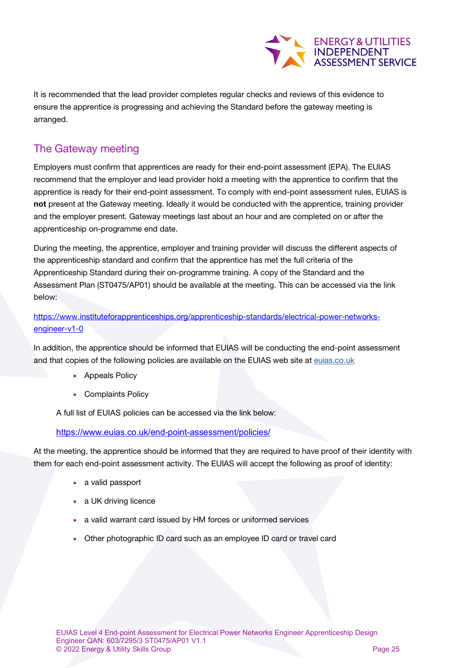

It is recommended that the lead provider completes regular checks and reviews of this evidence to ensure the apprentice is progressing and achieving the Standard before the gateway meeting is arranged.

### The Gateway meeting

Employers must confirm that apprentices are ready for their end-point assessment (EPA). The EUIAS recommend that the employer and lead provider hold a meeting with the apprentice to confirm that the apprentice is ready for their end-point assessment. To comply with end-point assessment rules, EUIAS is not present at the Gateway meeting. Ideally it would be conducted with the apprentice, training provider and the employer present. Gateway meetings last about an hour and are completed on or after the apprenticeship on-programme end date.

During the meeting, the apprentice, employer and training provider will discuss the different aspects of the apprenticeship standard and confirm that the apprentice has met the full criteria of the Apprenticeship Standard during their on-programme training. A copy of the Standard and the Assessment Plan (ST0475/AP01) should be available at the meeting. This can be accessed via the link below:

[https://www.instituteforapprenticeships.org/apprenticeship-standards/electrical-power-networks](https://www.instituteforapprenticeships.org/apprenticeship-standards/electrical-power-networks-engineer-v1-0)[engineer-v1-0](https://www.instituteforapprenticeships.org/apprenticeship-standards/electrical-power-networks-engineer-v1-0)

In addition, the apprentice should be informed that EUIAS will be conducting the end-point assessment and that copies of the following policies are available on the EUIAS web site at [euias.co.uk](http://euias.co.uk/)

- Appeals Policy
- Complaints Policy

A full list of EUIAS policies can be accessed via the link below:

<https://www.euias.co.uk/end-point-assessment/policies/>

At the meeting, the apprentice should be informed that they are required to have proof of their identity with them for each end-point assessment activity. The EUIAS will accept the following as proof of identity:

- a valid passport
- a UK driving licence
- a valid warrant card issued by HM forces or uniformed services
- Other photographic ID card such as an employee ID card or travel card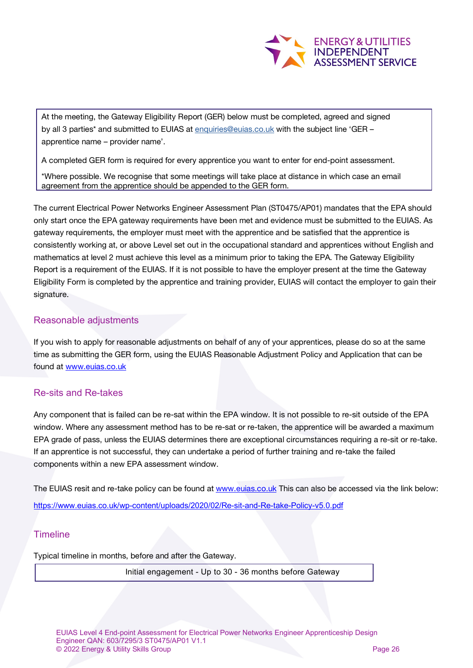

At the meeting, the Gateway Eligibility Report (GER) below must be completed, agreed and signed by all 3 parties\* and submitted to EUIAS at [enquiries@euias.co.uk](mailto:enquiries@euias.co.uk) with the subject line 'GER apprentice name – provider name'.

A completed GER form is required for every apprentice you want to enter for end-point assessment.

\*Where possible. We recognise that some meetings will take place at distance in which case an email agreement from the apprentice should be appended to the GER form.

The current Electrical Power Networks Engineer Assessment Plan (ST0475/AP01) mandates that the EPA should only start once the EPA gateway requirements have been met and evidence must be submitted to the EUIAS. As gateway requirements, the employer must meet with the apprentice and be satisfied that the apprentice is consistently working at, or above Level set out in the occupational standard and apprentices without English and mathematics at level 2 must achieve this level as a minimum prior to taking the EPA. The Gateway Eligibility Report is a requirement of the EUIAS. If it is not possible to have the employer present at the time the Gateway Eligibility Form is completed by the apprentice and training provider, EUIAS will contact the employer to gain their signature.

#### Reasonable adjustments

If you wish to apply for reasonable adjustments on behalf of any of your apprentices, please do so at the same time as submitting the GER form, using the EUIAS Reasonable Adjustment Policy and Application that can be found at [www.euias.co.uk](http://www.euias.co.uk/)

#### Re-sits and Re-takes

Any component that is failed can be re-sat within the EPA window. It is not possible to re-sit outside of the EPA window. Where any assessment method has to be re-sat or re-taken, the apprentice will be awarded a maximum EPA grade of pass, unless the EUIAS determines there are exceptional circumstances requiring a re-sit or re-take. If an apprentice is not successful, they can undertake a period of further training and re-take the failed components within a new EPA assessment window.

The EUIAS resit and re-take policy can be found at [www.euias.co.uk](http://www.euias.co.uk/) This can also be accessed via the link below: <https://www.euias.co.uk/wp-content/uploads/2020/02/Re-sit-and-Re-take-Policy-v5.0.pdf>

#### **Timeline**

Typical timeline in months, before and after the Gateway.

Initial engagement - Up to 30 - 36 months before Gateway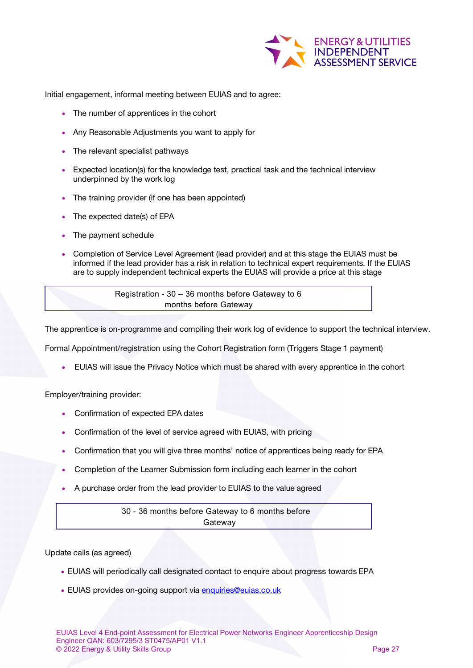

Initial engagement, informal meeting between EUIAS and to agree:

- The number of apprentices in the cohort
- Any Reasonable Adjustments you want to apply for
- The relevant specialist pathways
- Expected location(s) for the knowledge test, practical task and the technical interview underpinned by the work log
- The training provider (if one has been appointed)
- The expected date(s) of EPA
- The payment schedule
- Completion of Service Level Agreement (lead provider) and at this stage the EUIAS must be informed if the lead provider has a risk in relation to technical expert requirements. If the EUIAS are to supply independent technical experts the EUIAS will provide a price at this stage

Registration - 30 – 36 months before Gateway to 6 months before Gateway

The apprentice is on-programme and compiling their work log of evidence to support the technical interview.

Formal Appointment/registration using the Cohort Registration form (Triggers Stage 1 payment)

• EUIAS will issue the Privacy Notice which must be shared with every apprentice in the cohort

Employer/training provider:

- Confirmation of expected EPA dates
- Confirmation of the level of service agreed with EUIAS, with pricing
- Confirmation that you will give three months' notice of apprentices being ready for EPA
- Completion of the Learner Submission form including each learner in the cohort
- A purchase order from the lead provider to EUIAS to the value agreed

30 - 36 months before Gateway to 6 months before **Gateway** 

Update calls (as agreed)

- EUIAS will periodically call designated contact to enquire about progress towards EPA
- EUIAS p[rovides on-going support via](mailto:enquiries@euias.co.uk) [enquiries@euias.co.uk](mailto:enquiries@euias.co.uk)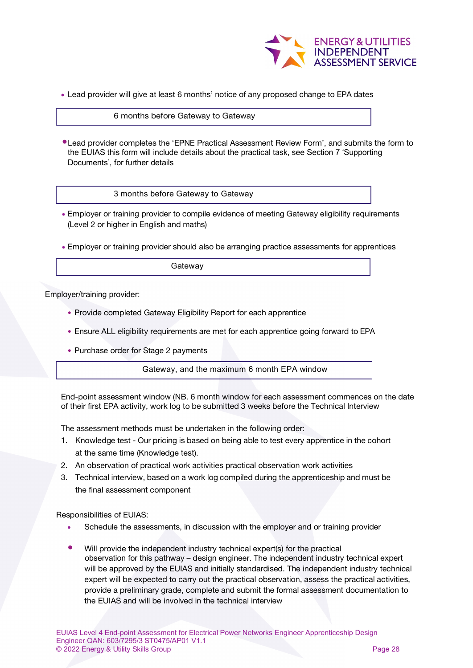

• Lead provider will give at least 6 months' notice of any proposed change to EPA dates

#### 6 months before Gateway to Gateway

•Lead provider completes the 'EPNE Practical Assessment Review Form', and submits the form to the EUIAS this form will include details about the practical task, see Section 7 'Supporting Documents', for further details

3 months before Gateway to Gateway

- Employer or training provider to compile evidence of meeting Gateway eligibility requirements (Level 2 or higher in English and maths)
- Employer or training provider should also be arranging practice assessments for apprentices

Gateway

Employer/training provider:

- Provide completed Gateway Eligibility Report for each apprentice
- Ensure ALL eligibility requirements are met for each apprentice going forward to EPA
- Purchase order for Stage 2 payments

Gateway, and the maximum 6 month EPA window

End-point assessment window (NB. 6 month window for each assessment commences on the date of their first EPA activity, work log to be submitted 3 weeks before the Technical Interview

The assessment methods must be undertaken in the following order:

- 1. Knowledge test Our pricing is based on being able to test every apprentice in the cohort at the same time (Knowledge test).
- 2. An observation of practical work activities practical observation work activities
- 3. Technical interview, based on a work log compiled during the apprenticeship and must be the final assessment component

Responsibilities of EUIAS:

- Schedule the assessments, in discussion with the employer and or training provider
- Will provide the independent industry technical expert(s) for the practical observation for this pathway – design engineer. The independent industry technical expert will be approved by the EUIAS and initially standardised. The independent industry technical expert will be expected to carry out the practical observation, assess the practical activities, provide a preliminary grade, complete and submit the formal assessment documentation to the EUIAS and will be involved in the technical interview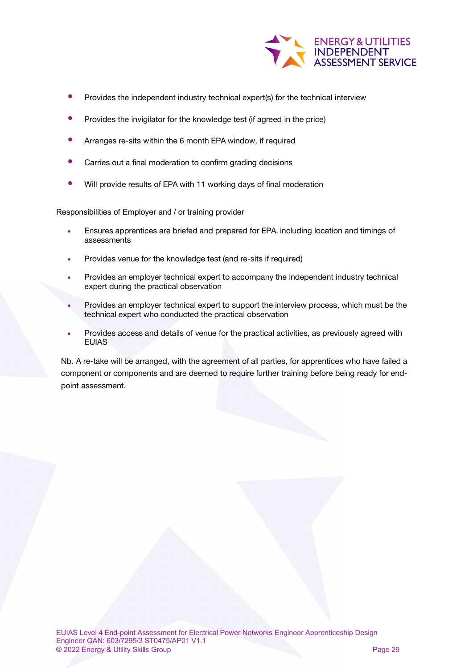

- Provides the independent industry technical expert(s) for the technical interview
- Provides the invigilator for the knowledge test (if agreed in the price)
- Arranges re-sits within the 6 month EPA window, if required
- Carries out a final moderation to confirm grading decisions
- Will provide results of EPA with 11 working days of final moderation

Responsibilities of Employer and / or training provider

- Ensures apprentices are briefed and prepared for EPA, including location and timings of assessments
- Provides venue for the knowledge test (and re-sits if required)
- Provides an employer technical expert to accompany the independent industry technical expert during the practical observation
- Provides an employer technical expert to support the interview process, which must be the technical expert who conducted the practical observation
- Provides access and details of venue for the practical activities, as previously agreed with EUIAS

Nb. A re-take will be arranged, with the agreement of all parties, for apprentices who have failed a component or components and are deemed to require further training before being ready for endpoint assessment.